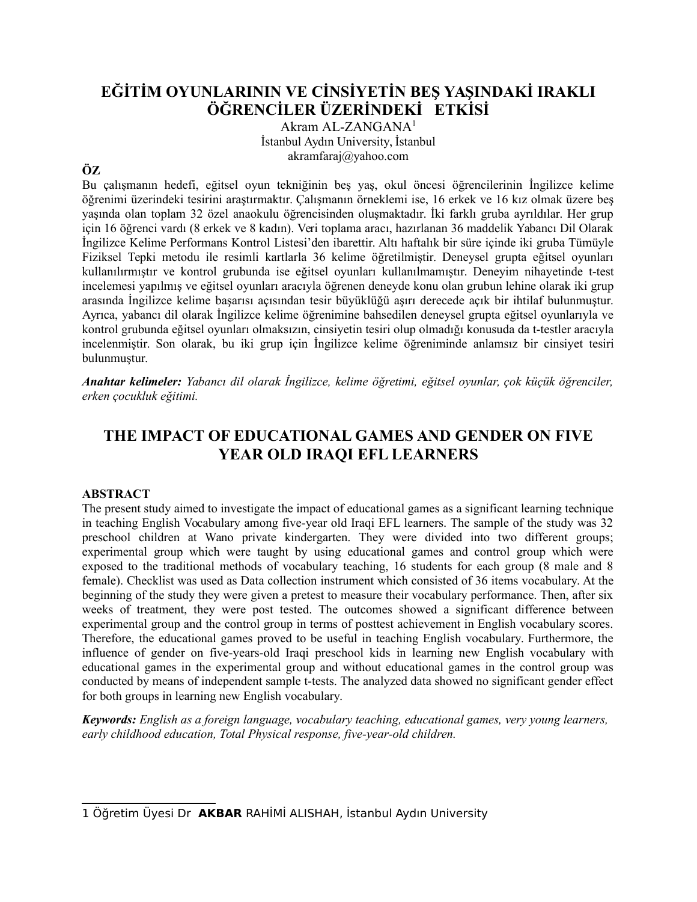# **EĞİTİM OYUNLARININ VE CİNSİYETİN BEŞ YAŞINDAKİ IRAKLI ÖĞRENCİLER ÜZERİNDEKİ ETKİSİ**

Akram AL-ZANGANA[1](#page-0-0) İstanbul Aydın University, İstanbul akramfaraj@yahoo.com

## **ÖZ**

Bu çalışmanın hedefi, eğitsel oyun tekniğinin beş yaş, okul öncesi öğrencilerinin İngilizce kelime öğrenimi üzerindeki tesirini araştırmaktır. Çalışmanın örneklemi ise, 16 erkek ve 16 kız olmak üzere beş yaşında olan toplam 32 özel anaokulu öğrencisinden oluşmaktadır. İki farklı gruba ayrıldılar. Her grup için 16 öğrenci vardı (8 erkek ve 8 kadın). Veri toplama aracı, hazırlanan 36 maddelik Yabancı Dil Olarak İngilizce Kelime Performans Kontrol Listesi'den ibarettir. Altı haftalık bir süre içinde iki gruba Tümüyle Fiziksel Tepki metodu ile resimli kartlarla 36 kelime öğretilmiştir. Deneysel grupta eğitsel oyunları kullanılırmıştır ve kontrol grubunda ise eğitsel oyunları kullanılmamıştır. Deneyim nihayetinde t-test incelemesi yapılmış ve eğitsel oyunları aracıyla öğrenen deneyde konu olan grubun lehine olarak iki grup arasında İngilizce kelime başarısı açısından tesir büyüklüğü aşırı derecede açık bir ihtilaf bulunmuştur. Ayrıca, yabancı dil olarak İngilizce kelime öğrenimine bahsedilen deneysel grupta eğitsel oyunlarıyla ve kontrol grubunda eğitsel oyunları olmaksızın, cinsiyetin tesiri olup olmadığı konusuda da t-testler aracıyla incelenmiştir. Son olarak, bu iki grup için İngilizce kelime öğreniminde anlamsız bir cinsiyet tesiri bulunmuştur.

*Anahtar kelimeler: Yabancı dil olarak İngilizce, kelime öğretimi, eğitsel oyunlar, çok küçük öğrenciler, erken çocukluk eğitimi.*

## **THE IMPACT OF EDUCATIONAL GAMES AND GENDER ON FIVE YEAR OLD IRAQI EFL LEARNERS**

## **ABSTRACT**

The present study aimed to investigate the impact of educational games as a significant learning technique in teaching English Vocabulary among five-year old Iraqi EFL learners. The sample of the study was 32 preschool children at Wano private kindergarten. They were divided into two different groups; experimental group which were taught by using educational games and control group which were exposed to the traditional methods of vocabulary teaching, 16 students for each group (8 male and 8 female). Checklist was used as Data collection instrument which consisted of 36 items vocabulary. At the beginning of the study they were given a pretest to measure their vocabulary performance. Then, after six weeks of treatment, they were post tested. The outcomes showed a significant difference between experimental group and the control group in terms of posttest achievement in English vocabulary scores. Therefore, the educational games proved to be useful in teaching English vocabulary. Furthermore, the influence of gender on five-years-old Iraqi preschool kids in learning new English vocabulary with educational games in the experimental group and without educational games in the control group was conducted by means of independent sample t-tests. The analyzed data showed no significant gender effect for both groups in learning new English vocabulary.

*Keywords: English as a foreign language, vocabulary teaching, educational games, very young learners, early childhood education, Total Physical response, five-year-old children.*

<span id="page-0-0"></span><sup>1</sup> Öğretim Üyesi Dr **AKBAR** RAHİMİ ALISHAH, İstanbul Aydın University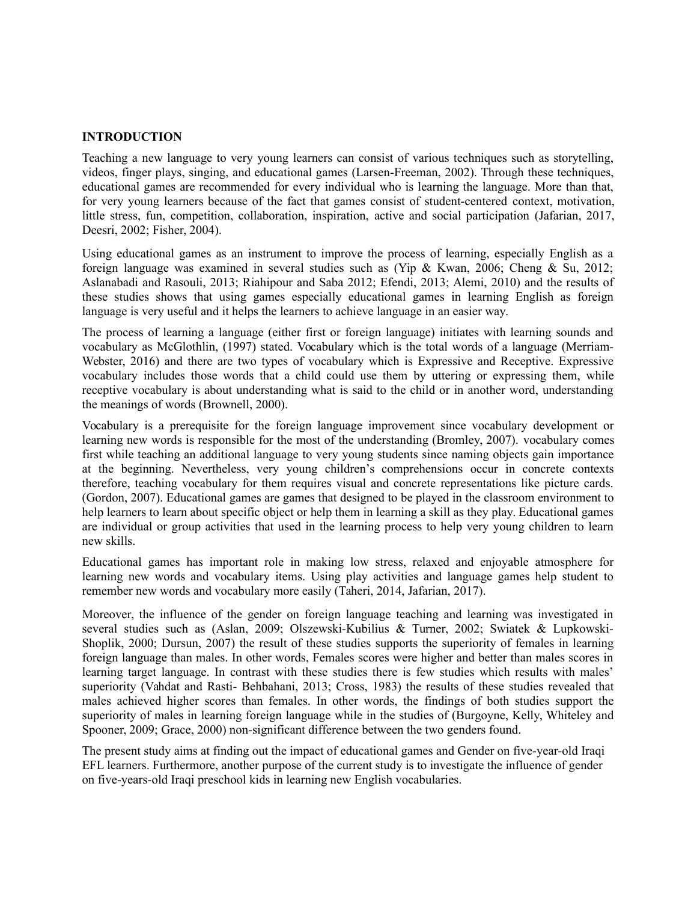#### **INTRODUCTION**

Teaching a new language to very young learners can consist of various techniques such as storytelling, videos, finger plays, singing, and educational games (Larsen-Freeman, 2002). Through these techniques, educational games are recommended for every individual who is learning the language. More than that, for very young learners because of the fact that games consist of student-centered context, motivation, little stress, fun, competition, collaboration, inspiration, active and social participation (Jafarian, 2017, Deesri, 2002; Fisher, 2004).

Using educational games as an instrument to improve the process of learning, especially English as a foreign language was examined in several studies such as (Yip & Kwan, 2006; Cheng & Su, 2012; Aslanabadi and Rasouli, 2013; Riahipour and Saba 2012; Efendi, 2013; Alemi, 2010) and the results of these studies shows that using games especially educational games in learning English as foreign language is very useful and it helps the learners to achieve language in an easier way.

The process of learning a language (either first or foreign language) initiates with learning sounds and vocabulary as McGlothlin, (1997) stated. Vocabulary which is the total words of a language (Merriam-Webster, 2016) and there are two types of vocabulary which is Expressive and Receptive. Expressive vocabulary includes those words that a child could use them by uttering or expressing them, while receptive vocabulary is about understanding what is said to the child or in another word, understanding the meanings of words (Brownell, 2000).

Vocabulary is a prerequisite for the foreign language improvement since vocabulary development or learning new words is responsible for the most of the understanding (Bromley, 2007). vocabulary comes first while teaching an additional language to very young students since naming objects gain importance at the beginning. Nevertheless, very young children's comprehensions occur in concrete contexts therefore, teaching vocabulary for them requires visual and concrete representations like picture cards. (Gordon, 2007). Educational games are games that designed to be played in the classroom environment to help learners to learn about specific object or help them in learning a skill as they play. Educational games are individual or group activities that used in the learning process to help very young children to learn new skills.

Educational games has important role in making low stress, relaxed and enjoyable atmosphere for learning new words and vocabulary items. Using play activities and language games help student to remember new words and vocabulary more easily (Taheri, 2014, Jafarian, 2017).

Moreover, the influence of the gender on foreign language teaching and learning was investigated in several studies such as (Aslan, 2009; Olszewski-Kubilius & Turner, 2002; Swiatek & Lupkowski-Shoplik, 2000; Dursun, 2007) the result of these studies supports the superiority of females in learning foreign language than males. In other words, Females scores were higher and better than males scores in learning target language. In contrast with these studies there is few studies which results with males' superiority (Vahdat and Rasti- Behbahani, 2013; Cross, 1983) the results of these studies revealed that males achieved higher scores than females. In other words, the findings of both studies support the superiority of males in learning foreign language while in the studies of (Burgoyne, Kelly, Whiteley and Spooner, 2009; Grace, 2000) non-significant difference between the two genders found.

The present study aims at finding out the impact of educational games and Gender on five-year-old Iraqi EFL learners. Furthermore, another purpose of the current study is to investigate the influence of gender on five-years-old Iraqi preschool kids in learning new English vocabularies.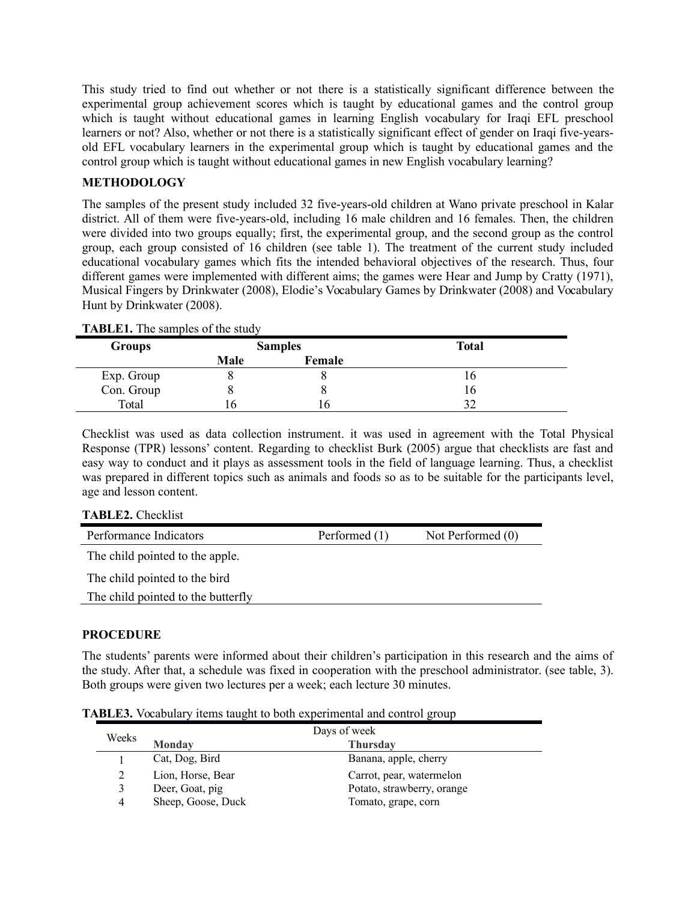This study tried to find out whether or not there is a statistically significant difference between the experimental group achievement scores which is taught by educational games and the control group which is taught without educational games in learning English vocabulary for Iraqi EFL preschool learners or not? Also, whether or not there is a statistically significant effect of gender on Iraqi five-yearsold EFL vocabulary learners in the experimental group which is taught by educational games and the control group which is taught without educational games in new English vocabulary learning?

## **METHODOLOGY**

The samples of the present study included 32 five-years-old children at Wano private preschool in Kalar district. All of them were five-years-old, including 16 male children and 16 females. Then, the children were divided into two groups equally; first, the experimental group, and the second group as the control group, each group consisted of 16 children (see table 1). The treatment of the current study included educational vocabulary games which fits the intended behavioral objectives of the research. Thus, four different games were implemented with different aims; the games were Hear and Jump by Cratty (1971), Musical Fingers by Drinkwater (2008), Elodie's Vocabulary Games by Drinkwater (2008) and Vocabulary Hunt by Drinkwater (2008).

| <b>Groups</b> | <b>Samples</b> |        | <b>Total</b> |
|---------------|----------------|--------|--------------|
|               | Male           | Female |              |
| Exp. Group    |                |        | 10           |
| Con. Group    |                |        | 10           |
| Total         |                |        |              |

| <b>TABLE1.</b> The samples of the study |  |  |  |  |
|-----------------------------------------|--|--|--|--|
|-----------------------------------------|--|--|--|--|

Checklist was used as data collection instrument. it was used in agreement with the Total Physical Response (TPR) lessons' content. Regarding to checklist Burk (2005) argue that checklists are fast and easy way to conduct and it plays as assessment tools in the field of language learning. Thus, a checklist was prepared in different topics such as animals and foods so as to be suitable for the participants level, age and lesson content.

## **TABLE2.** Checklist

| Performance Indicators             | Performed (1) | Not Performed (0) |
|------------------------------------|---------------|-------------------|
| The child pointed to the apple.    |               |                   |
| The child pointed to the bird      |               |                   |
| The child pointed to the butterfly |               |                   |
|                                    |               |                   |

## **PROCEDURE**

The students' parents were informed about their children's participation in this research and the aims of the study. After that, a schedule was fixed in cooperation with the preschool administrator. (see table, 3). Both groups were given two lectures per a week; each lecture 30 minutes.

| TABLE3. Vocabulary items taught to both experimental and control group |  |  |  |  |
|------------------------------------------------------------------------|--|--|--|--|
|                                                                        |  |  |  |  |

|       |                    | <b>BELO,</b> Todounal, Renis augusto com experimental and control group |  |  |  |
|-------|--------------------|-------------------------------------------------------------------------|--|--|--|
| Weeks | Days of week       |                                                                         |  |  |  |
|       | <b>Monday</b>      | <b>Thursday</b>                                                         |  |  |  |
|       | Cat, Dog, Bird     | Banana, apple, cherry                                                   |  |  |  |
|       | Lion, Horse, Bear  | Carrot, pear, watermelon                                                |  |  |  |
|       | Deer, Goat, pig    | Potato, strawberry, orange                                              |  |  |  |
| 4     | Sheep, Goose, Duck | Tomato, grape, corn                                                     |  |  |  |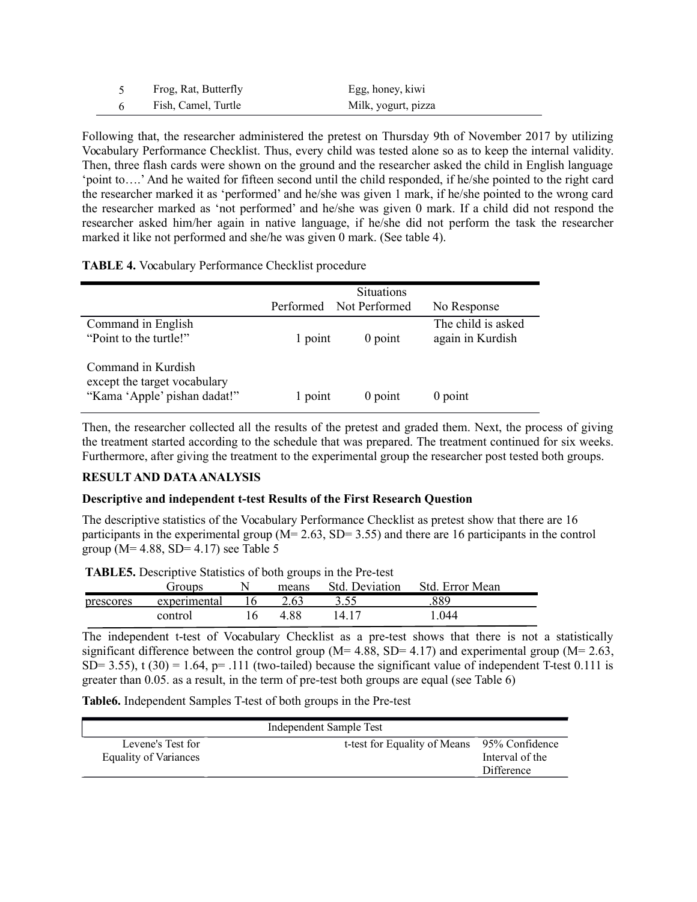| Frog, Rat, Butterfly | Egg, honey, kiwi    |
|----------------------|---------------------|
| Fish, Camel, Turtle  | Milk, yogurt, pizza |

Following that, the researcher administered the pretest on Thursday 9th of November 2017 by utilizing Vocabulary Performance Checklist. Thus, every child was tested alone so as to keep the internal validity. Then, three flash cards were shown on the ground and the researcher asked the child in English language 'point to….' And he waited for fifteen second until the child responded, if he/she pointed to the right card the researcher marked it as 'performed' and he/she was given 1 mark, if he/she pointed to the wrong card the researcher marked as 'not performed' and he/she was given 0 mark. If a child did not respond the researcher asked him/her again in native language, if he/she did not perform the task the researcher marked it like not performed and she/he was given 0 mark. (See table 4).

|  |  | TABLE 4. Vocabulary Performance Checklist procedure |  |  |
|--|--|-----------------------------------------------------|--|--|
|--|--|-----------------------------------------------------|--|--|

|                                                                                    |         | <b>Situations</b><br>Performed Not Performed | No Response                            |
|------------------------------------------------------------------------------------|---------|----------------------------------------------|----------------------------------------|
| Command in English<br>"Point to the turtle!"                                       | 1 point | $0$ point                                    | The child is asked<br>again in Kurdish |
| Command in Kurdish<br>except the target vocabulary<br>"Kama 'Apple' pishan dadat!" | 1 point | $0$ point                                    | $0$ point                              |

Then, the researcher collected all the results of the pretest and graded them. Next, the process of giving the treatment started according to the schedule that was prepared. The treatment continued for six weeks. Furthermore, after giving the treatment to the experimental group the researcher post tested both groups.

## **RESULT AND DATA ANALYSIS**

#### **Descriptive and independent t-test Results of the First Research Question**

The descriptive statistics of the Vocabulary Performance Checklist as pretest show that there are 16 participants in the experimental group ( $M = 2.63$ , SD= 3.55) and there are 16 participants in the control group ( $M = 4.88$ ,  $SD = 4.17$ ) see Table 5

 **TABLE5.** Descriptive Statistics of both groups in the Pre-test

|           | Groups       | N | means | Std. Deviation | Std. Error Mean |  |
|-----------|--------------|---|-------|----------------|-----------------|--|
| prescores | experimental |   | 2.63  | . ب            | .889            |  |
|           | control      |   | 4.88  | 14 17          | 1.044           |  |

The independent t-test of Vocabulary Checklist as a pre-test shows that there is not a statistically significant difference between the control group ( $M= 4.88$ , SD= 4.17) and experimental group ( $M= 2.63$ , SD= 3.55),  $t(30) = 1.64$ , p= .111 (two-tailed) because the significant value of independent T-test 0.111 is greater than 0.05. as a result, in the term of pre-test both groups are equal (see Table 6)

**Table6.** Independent Samples T-test of both groups in the Pre-test

| Independent Sample Test                    |                                             |                               |  |  |
|--------------------------------------------|---------------------------------------------|-------------------------------|--|--|
| Levene's Test for<br>Equality of Variances | t-test for Equality of Means 95% Confidence | Interval of the<br>Difference |  |  |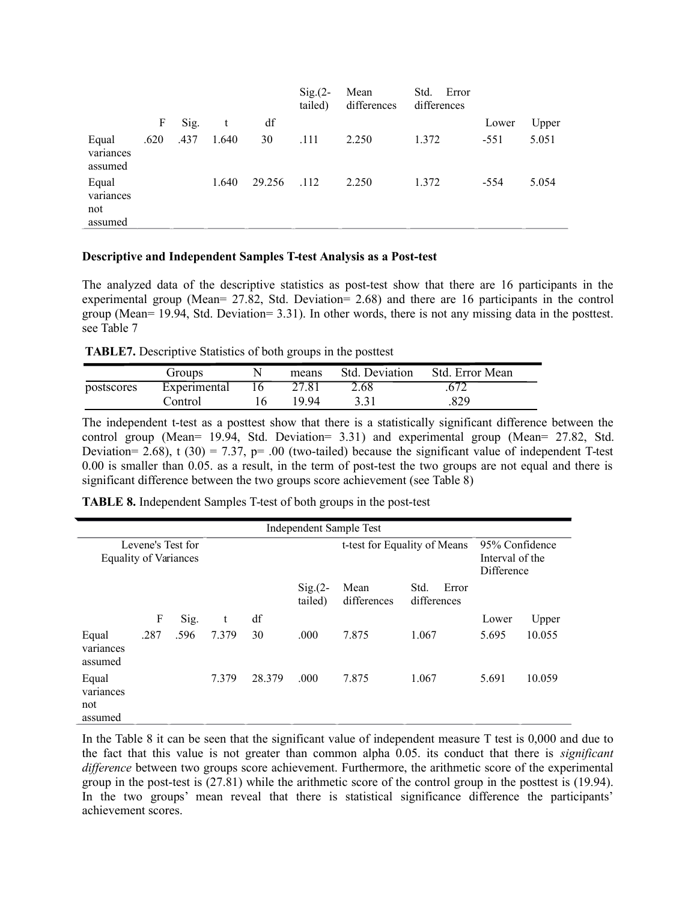|                                      |      |      |       |        | $Sig(2 -$<br>tailed) | Mean<br>differences | Std.<br>Error<br>differences |        |       |
|--------------------------------------|------|------|-------|--------|----------------------|---------------------|------------------------------|--------|-------|
|                                      | F    | Sig. | t     | df     |                      |                     |                              | Lower  | Upper |
| Equal<br>variances<br>assumed        | .620 | .437 | 1.640 | 30     | .111                 | 2.250               | 1.372                        | $-551$ | 5.051 |
| Equal<br>variances<br>not<br>assumed |      |      | 1.640 | 29.256 | .112                 | 2.250               | 1.372                        | $-554$ | 5.054 |
|                                      |      |      |       |        |                      |                     |                              |        |       |

## **Descriptive and Independent Samples T-test Analysis as a Post-test**

The analyzed data of the descriptive statistics as post-test show that there are 16 participants in the experimental group (Mean= 27.82, Std. Deviation= 2.68) and there are 16 participants in the control group (Mean= 19.94, Std. Deviation= 3.31). In other words, there is not any missing data in the posttest. see Table 7

|            | Groups       |    | means | Std. Deviation | Std. Error Mean |
|------------|--------------|----|-------|----------------|-----------------|
| postscores | Experimental |    | 27.81 | 2.68           | .672            |
|            | Control      | 16 | 1994  | 3.31           | .829            |

The independent t-test as a posttest show that there is a statistically significant difference between the control group (Mean= 19.94, Std. Deviation= 3.31) and experimental group (Mean= 27.82, Std. Deviation= 2.68), t (30) = 7.37, p= .00 (two-tailed) because the significant value of independent T-test 0.00 is smaller than 0.05. as a result, in the term of post-test the two groups are not equal and there is significant difference between the two groups score achievement (see Table 8)

**TABLE 8.** Independent Samples T-test of both groups in the post-test

|                                                   | <b>Independent Sample Test</b> |      |       |        |                      |                              |                                                 |       |        |  |  |
|---------------------------------------------------|--------------------------------|------|-------|--------|----------------------|------------------------------|-------------------------------------------------|-------|--------|--|--|
| Levene's Test for<br><b>Equality of Variances</b> |                                |      |       |        |                      | t-test for Equality of Means | 95% Confidence<br>Interval of the<br>Difference |       |        |  |  |
|                                                   |                                |      |       |        | $Sig(2 -$<br>tailed) | Mean<br>differences          | Std.<br>Error<br>differences                    |       |        |  |  |
|                                                   | F                              | Sig. | t     | df     |                      |                              |                                                 | Lower | Upper  |  |  |
| Equal<br>variances<br>assumed                     | .287                           | .596 | 7.379 | 30     | .000                 | 7.875                        | 1.067                                           | 5.695 | 10.055 |  |  |
| Equal<br>variances<br>not<br>assumed              |                                |      | 7.379 | 28.379 | .000                 | 7.875                        | 1.067                                           | 5.691 | 10.059 |  |  |

In the Table 8 it can be seen that the significant value of independent measure T test is 0,000 and due to the fact that this value is not greater than common alpha 0.05. its conduct that there is *significant difference* between two groups score achievement. Furthermore, the arithmetic score of the experimental group in the post-test is (27.81) while the arithmetic score of the control group in the posttest is (19.94). In the two groups' mean reveal that there is statistical significance difference the participants' achievement scores.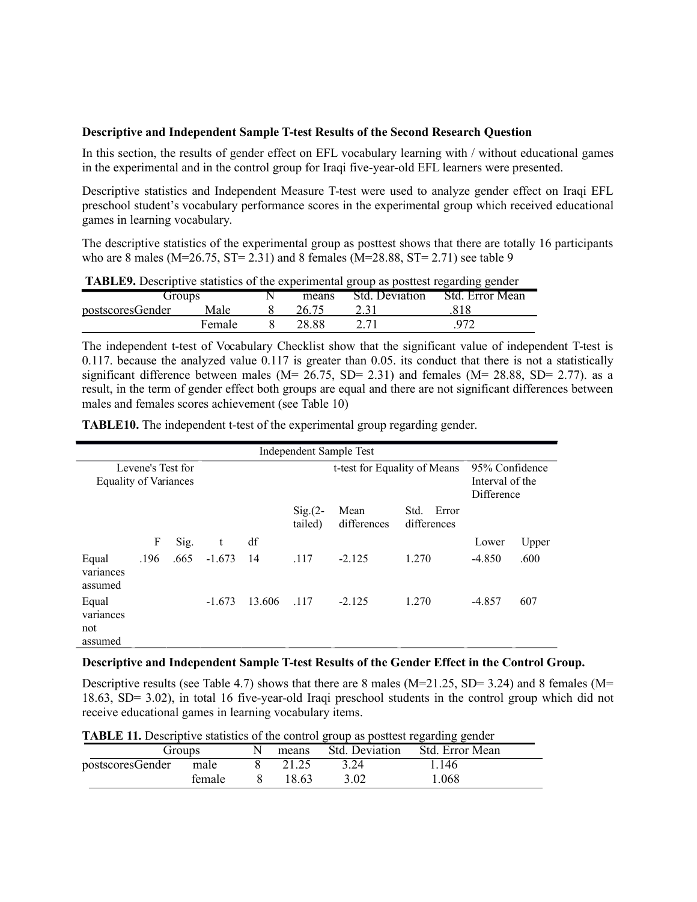#### **Descriptive and Independent Sample T-test Results of the Second Research Question**

In this section, the results of gender effect on EFL vocabulary learning with / without educational games in the experimental and in the control group for Iraqi five-year-old EFL learners were presented.

Descriptive statistics and Independent Measure T-test were used to analyze gender effect on Iraqi EFL preschool student's vocabulary performance scores in the experimental group which received educational games in learning vocabulary.

The descriptive statistics of the experimental group as posttest shows that there are totally 16 participants who are 8 males ( $M=26.75$ ,  $ST= 2.31$ ) and 8 females ( $M=28.88$ ,  $ST= 2.71$ ) see table 9

| <b>TABLE9.</b> Descriptive statistics of the experimental group as posttest regarding gender |        |       |      |                                |
|----------------------------------------------------------------------------------------------|--------|-------|------|--------------------------------|
| Groups                                                                                       |        | means |      | Std. Deviation Std. Error Mean |
| postscoresGender                                                                             | Male   | 26.75 | 2.31 | 818                            |
|                                                                                              | Female | 28.88 | 2.71 | 972                            |

**TABLE9.** Descriptive statistics of the experimental group as posttest regarding gender

The independent t-test of Vocabulary Checklist show that the significant value of independent T-test is 0.117. because the analyzed value 0.117 is greater than 0.05. its conduct that there is not a statistically significant difference between males ( $M = 26.75$ ,  $SD = 2.31$ ) and females ( $M = 28.88$ ,  $SD = 2.77$ ). as a result, in the term of gender effect both groups are equal and there are not significant differences between males and females scores achievement (see Table 10)

**TABLE10.** The independent t-test of the experimental group regarding gender.

|                                      | <b>Independent Sample Test</b> |      |          |        |                                                                                 |                     |                              |          |       |  |
|--------------------------------------|--------------------------------|------|----------|--------|---------------------------------------------------------------------------------|---------------------|------------------------------|----------|-------|--|
| Equality of Variances                | Levene's Test for              |      |          |        | 95% Confidence<br>t-test for Equality of Means<br>Interval of the<br>Difference |                     |                              |          |       |  |
|                                      |                                |      |          |        | $Sig(2 -$<br>tailed)                                                            | Mean<br>differences | Error<br>Std.<br>differences |          |       |  |
|                                      | F                              | Sig. | t        | df     |                                                                                 |                     |                              | Lower    | Upper |  |
| Equal<br>variances<br>assumed        | .196                           | .665 | $-1.673$ | 14     | .117                                                                            | $-2.125$            | 1.270                        | $-4.850$ | .600  |  |
| Equal<br>variances<br>not<br>assumed |                                |      | $-1.673$ | 13.606 | .117                                                                            | $-2.125$            | 1.270                        | $-4.857$ | 607   |  |

#### **Descriptive and Independent Sample T-test Results of the Gender Effect in the Control Group.**

Descriptive results (see Table 4.7) shows that there are 8 males ( $M=21.25$ , SD= 3.24) and 8 females ( $M=$ 18.63, SD= 3.02), in total 16 five-year-old Iraqi preschool students in the control group which did not receive educational games in learning vocabulary items.

|  |  |  |  |  | <b>TABLE 11.</b> Descriptive statistics of the control group as posttest regarding gender |
|--|--|--|--|--|-------------------------------------------------------------------------------------------|
|--|--|--|--|--|-------------------------------------------------------------------------------------------|

|                  | Groups | means   | <b>Std. Deviation</b> | Std. Error Mean |  |
|------------------|--------|---------|-----------------------|-----------------|--|
| postscoresGender | male   | 8 21.25 | 3.24                  | 1.146           |  |
|                  | female | 18.63   | 3.02                  | 1.068           |  |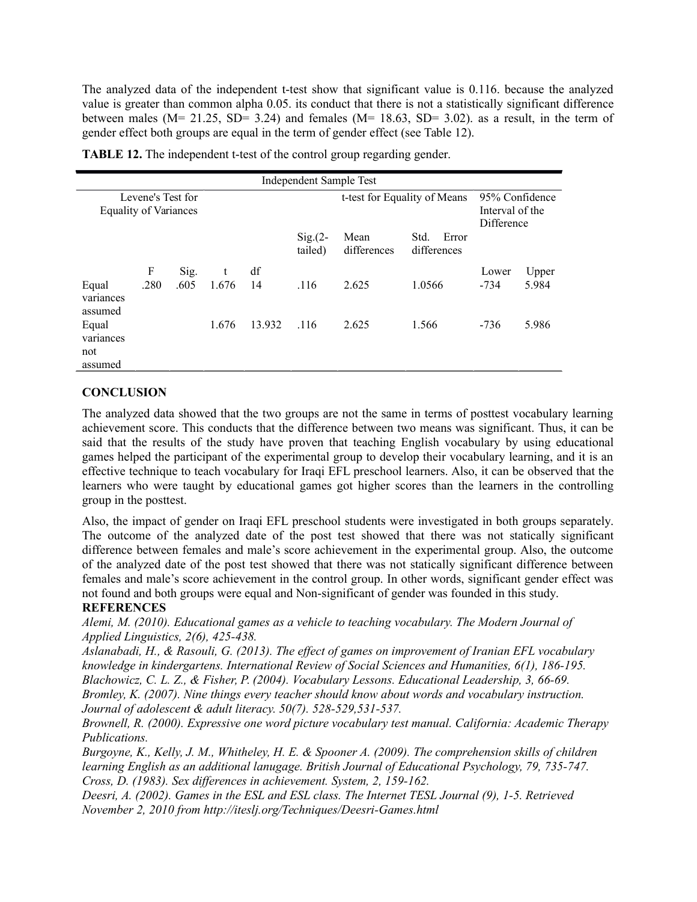The analyzed data of the independent t-test show that significant value is 0.116. because the analyzed value is greater than common alpha 0.05. its conduct that there is not a statistically significant difference between males ( $M= 21.25$ ,  $SD= 3.24$ ) and females ( $M= 18.63$ ,  $SD= 3.02$ ). as a result, in the term of gender effect both groups are equal in the term of gender effect (see Table 12).

| <b>Independent Sample Test</b>                    |      |       |        |                              |                     |                              |                              |                                                 |
|---------------------------------------------------|------|-------|--------|------------------------------|---------------------|------------------------------|------------------------------|-------------------------------------------------|
| Levene's Test for<br><b>Equality of Variances</b> |      |       |        |                              |                     |                              |                              |                                                 |
|                                                   |      |       |        | $\text{Sig.}(2 -$<br>tailed) | Mean<br>differences | Std.<br>Error<br>differences |                              |                                                 |
| F                                                 | Sig. | t     | df     |                              |                     |                              | Lower                        | Upper                                           |
| .280                                              | .605 | 1.676 | 14     | .116                         | 2.625               | 1.0566                       | $-734$                       | 5.984                                           |
|                                                   |      | 1.676 | 13.932 | .116                         | 2.625               | 1.566                        | $-736$                       | 5.986                                           |
|                                                   |      |       |        |                              |                     |                              | t-test for Equality of Means | 95% Confidence<br>Interval of the<br>Difference |

**TABLE 12.** The independent t-test of the control group regarding gender.

## **CONCLUSION**

The analyzed data showed that the two groups are not the same in terms of posttest vocabulary learning achievement score. This conducts that the difference between two means was significant. Thus, it can be said that the results of the study have proven that teaching English vocabulary by using educational games helped the participant of the experimental group to develop their vocabulary learning, and it is an effective technique to teach vocabulary for Iraqi EFL preschool learners. Also, it can be observed that the learners who were taught by educational games got higher scores than the learners in the controlling group in the posttest.

Also, the impact of gender on Iraqi EFL preschool students were investigated in both groups separately. The outcome of the analyzed date of the post test showed that there was not statically significant difference between females and male's score achievement in the experimental group. Also, the outcome of the analyzed date of the post test showed that there was not statically significant difference between females and male's score achievement in the control group. In other words, significant gender effect was not found and both groups were equal and Non-significant of gender was founded in this study.

## **REFERENCES**

*Alemi, M. (2010). Educational games as a vehicle to teaching vocabulary. The Modern Journal of Applied Linguistics, 2(6), 425-438.*

*Aslanabadi, H., & Rasouli, G. (2013). The effect of games on improvement of Iranian EFL vocabulary knowledge in kindergartens. International Review of Social Sciences and Humanities, 6(1), 186-195.*

*Blachowicz, C. L. Z., & Fisher, P. (2004). Vocabulary Lessons. Educational Leadership, 3, 66-69.*

*Bromley, K. (2007). Nine things every teacher should know about words and vocabulary instruction. Journal of adolescent & adult literacy. 50(7). 528-529,531-537.*

*Brownell, R. (2000). Expressive one word picture vocabulary test manual. California: Academic Therapy Publications.*

*Burgoyne, K., Kelly, J. M., Whitheley, H. E. & Spooner A. (2009). The comprehension skills of children learning English as an additional lanugage. British Journal of Educational Psychology, 79, 735-747. Cross, D. (1983). Sex differences in achievement. System, 2, 159-162.*

*Deesri, A. (2002). Games in the ESL and ESL class. The Internet TESL Journal (9), 1-5. Retrieved November 2, 2010 from http://iteslj.org/Techniques/Deesri-Games.html*